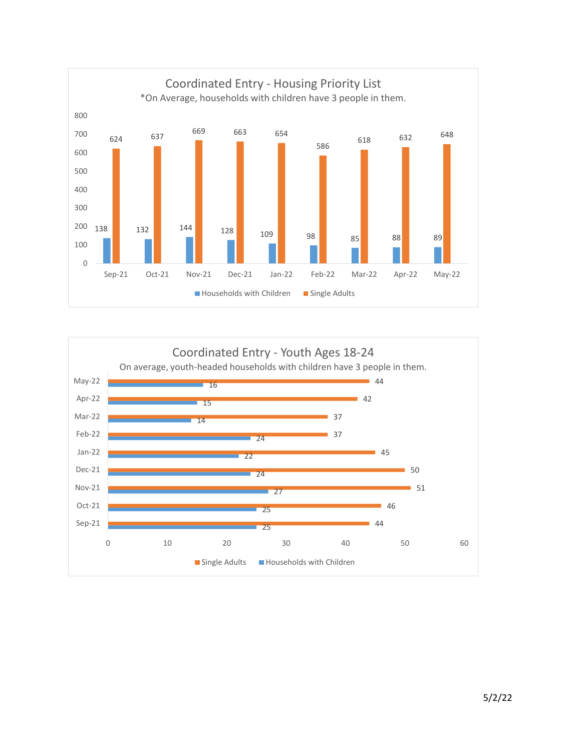

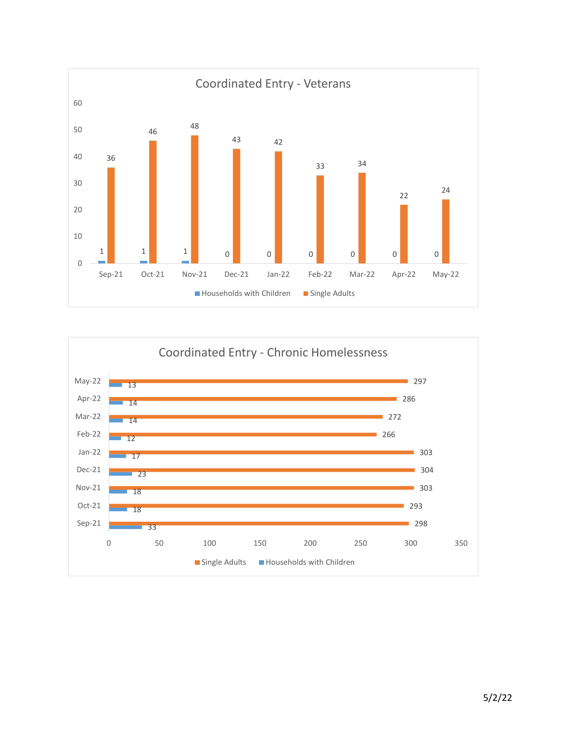

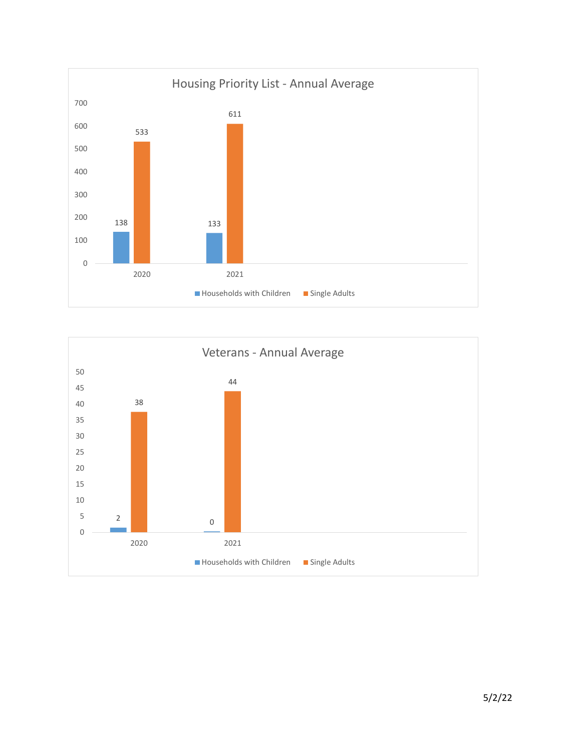